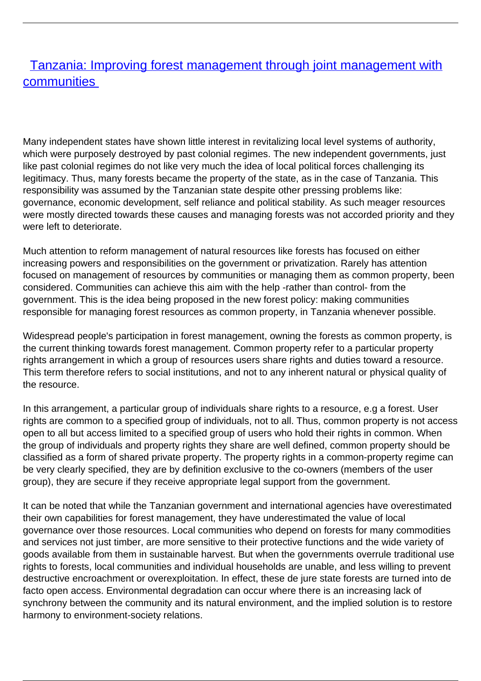## **[Tanzania: Improving forest management through joint management with](/bulletin-articles/tanzania-improving-forest-management-through-joint-management-with-communities) [communities](/bulletin-articles/tanzania-improving-forest-management-through-joint-management-with-communities)**

Many independent states have shown little interest in revitalizing local level systems of authority, which were purposely destroyed by past colonial regimes. The new independent governments, just like past colonial regimes do not like very much the idea of local political forces challenging its legitimacy. Thus, many forests became the property of the state, as in the case of Tanzania. This responsibility was assumed by the Tanzanian state despite other pressing problems like: governance, economic development, self reliance and political stability. As such meager resources were mostly directed towards these causes and managing forests was not accorded priority and they were left to deteriorate.

Much attention to reform management of natural resources like forests has focused on either increasing powers and responsibilities on the government or privatization. Rarely has attention focused on management of resources by communities or managing them as common property, been considered. Communities can achieve this aim with the help -rather than control- from the government. This is the idea being proposed in the new forest policy: making communities responsible for managing forest resources as common property, in Tanzania whenever possible.

Widespread people's participation in forest management, owning the forests as common property, is the current thinking towards forest management. Common property refer to a particular property rights arrangement in which a group of resources users share rights and duties toward a resource. This term therefore refers to social institutions, and not to any inherent natural or physical quality of the resource.

In this arrangement, a particular group of individuals share rights to a resource, e.g a forest. User rights are common to a specified group of individuals, not to all. Thus, common property is not access open to all but access limited to a specified group of users who hold their rights in common. When the group of individuals and property rights they share are well defined, common property should be classified as a form of shared private property. The property rights in a common-property regime can be very clearly specified, they are by definition exclusive to the co-owners (members of the user group), they are secure if they receive appropriate legal support from the government.

It can be noted that while the Tanzanian government and international agencies have overestimated their own capabilities for forest management, they have underestimated the value of local governance over those resources. Local communities who depend on forests for many commodities and services not just timber, are more sensitive to their protective functions and the wide variety of goods available from them in sustainable harvest. But when the governments overrule traditional use rights to forests, local communities and individual households are unable, and less willing to prevent destructive encroachment or overexploitation. In effect, these de jure state forests are turned into de facto open access. Environmental degradation can occur where there is an increasing lack of synchrony between the community and its natural environment, and the implied solution is to restore harmony to environment-society relations.